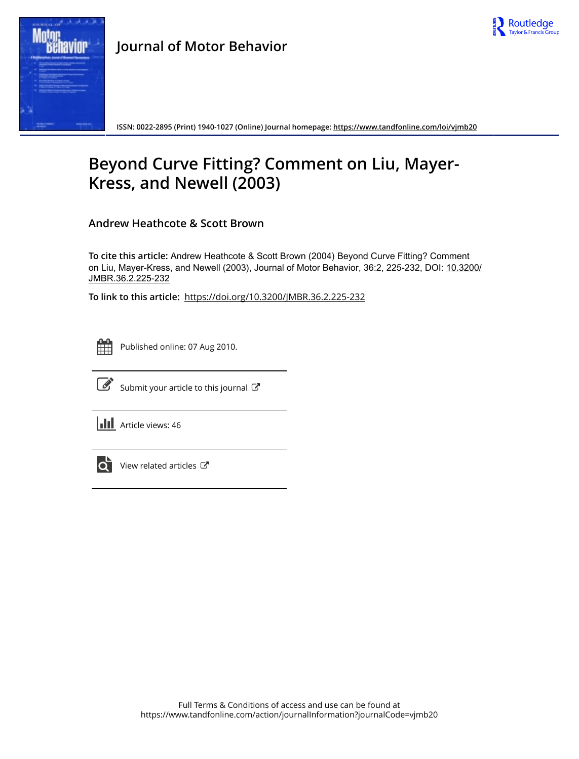



**Journal of Motor Behavior**

**ISSN: 0022-2895 (Print) 1940-1027 (Online) Journal homepage:<https://www.tandfonline.com/loi/vjmb20>**

## **Beyond Curve Fitting? Comment on Liu, Mayer-Kress, and Newell (2003)**

**Andrew Heathcote & Scott Brown**

**To cite this article:** Andrew Heathcote & Scott Brown (2004) Beyond Curve Fitting? Comment on Liu, Mayer-Kress, and Newell (2003), Journal of Motor Behavior, 36:2, 225-232, DOI: [10.3200/](https://www.tandfonline.com/action/showCitFormats?doi=10.3200/JMBR.36.2.225-232) [JMBR.36.2.225-232](https://www.tandfonline.com/action/showCitFormats?doi=10.3200/JMBR.36.2.225-232)

**To link to this article:** <https://doi.org/10.3200/JMBR.36.2.225-232>



Published online: 07 Aug 2010.



 $\overrightarrow{S}$  [Submit your article to this journal](https://www.tandfonline.com/action/authorSubmission?journalCode=vjmb20&show=instructions)  $\overrightarrow{S}$ 

**III** Article views: 46



[View related articles](https://www.tandfonline.com/doi/mlt/10.3200/JMBR.36.2.225-232) C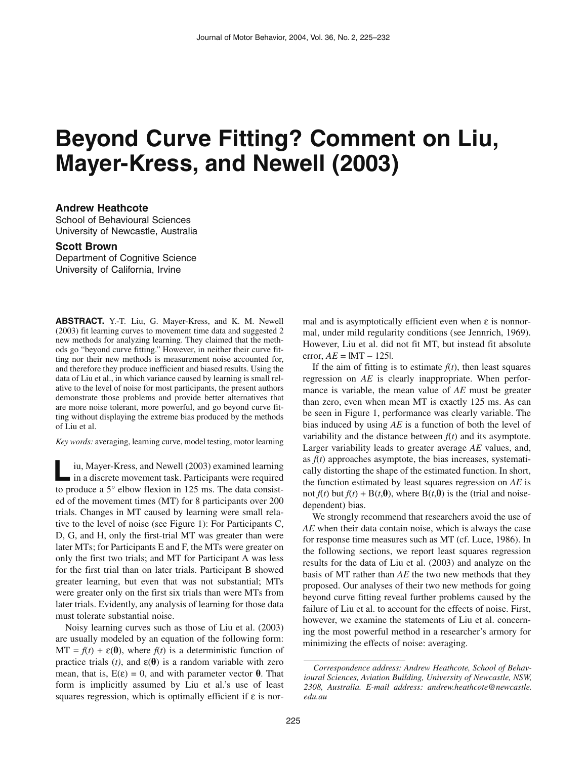# **Beyond Curve Fitting? Comment on Liu, Mayer-Kress, and Newell (2003)**

#### **Andrew Heathcote**

School of Behavioural Sciences University of Newcastle, Australia

### **Scott Brown**

Department of Cognitive Science University of California, Irvine

**ABSTRACT.** Y.-T. Liu, G. Mayer-Kress, and K. M. Newell (2003) fit learning curves to movement time data and suggested 2 new methods for analyzing learning. They claimed that the methods go "beyond curve fitting." However, in neither their curve fitting nor their new methods is measurement noise accounted for, and therefore they produce inefficient and biased results. Using the data of Liu et al., in which variance caused by learning is small relative to the level of noise for most participants, the present authors demonstrate those problems and provide better alternatives that are more noise tolerant, more powerful, and go beyond curve fitting without displaying the extreme bias produced by the methods of Liu et al.

*Key words:* averaging, learning curve, model testing, motor learning

iu, Mayer-Kress, and Newell (2003) examined learning in a discrete movement task. Participants were required iu, Mayer-Kress, and Newell (2003) examined learning<br>in a discrete movement task. Participants were required<br>to produce a 5° elbow flexion in 125 ms. The data consisted of the movement times (MT) for 8 participants over 200 trials. Changes in MT caused by learning were small relative to the level of noise (see Figure 1): For Participants C, D, G, and H, only the first-trial MT was greater than were later MTs; for Participants E and F, the MTs were greater on only the first two trials; and MT for Participant A was less for the first trial than on later trials. Participant B showed greater learning, but even that was not substantial; MTs were greater only on the first six trials than were MTs from later trials. Evidently, any analysis of learning for those data must tolerate substantial noise.

Noisy learning curves such as those of Liu et al. (2003) are usually modeled by an equation of the following form:  $MT = f(t) + \varepsilon(\theta)$ , where  $f(t)$  is a deterministic function of practice trials (*t*), and  $\varepsilon(\theta)$  is a random variable with zero mean, that is,  $E(\varepsilon) = 0$ , and with parameter vector  $\theta$ . That form is implicitly assumed by Liu et al.'s use of least squares regression, which is optimally efficient if  $\varepsilon$  is normal and is asymptotically efficient even when  $\varepsilon$  is nonnormal, under mild regularity conditions (see Jennrich, 1969). However, Liu et al. did not fit MT, but instead fit absolute error,  $AE = |MT - 125|$ .

If the aim of fitting is to estimate  $f(t)$ , then least squares regression on *AE* is clearly inappropriate. When performance is variable, the mean value of *AE* must be greater than zero, even when mean MT is exactly 125 ms. As can be seen in Figure 1, performance was clearly variable. The bias induced by using *AE* is a function of both the level of variability and the distance between  $f(t)$  and its asymptote. Larger variability leads to greater average *AE* values, and, as  $f(t)$  approaches asymptote, the bias increases, systematically distorting the shape of the estimated function. In short, the function estimated by least squares regression on *AE* is not  $f(t)$  but  $f(t) + B(t, \theta)$ , where  $B(t, \theta)$  is the (trial and noisedependent) bias.

We strongly recommend that researchers avoid the use of *AE* when their data contain noise, which is always the case for response time measures such as MT (cf. Luce, 1986). In the following sections, we report least squares regression results for the data of Liu et al. (2003) and analyze on the basis of MT rather than *AE* the two new methods that they proposed. Our analyses of their two new methods for going beyond curve fitting reveal further problems caused by the failure of Liu et al. to account for the effects of noise. First, however, we examine the statements of Liu et al. concerning the most powerful method in a researcher's armory for minimizing the effects of noise: averaging.

*Correspondence address: Andrew Heathcote, School of Behavioural Sciences, Aviation Building, University of Newcastle, NSW, 2308, Australia. E-mail address: andrew.heathcote@newcastle. edu.au*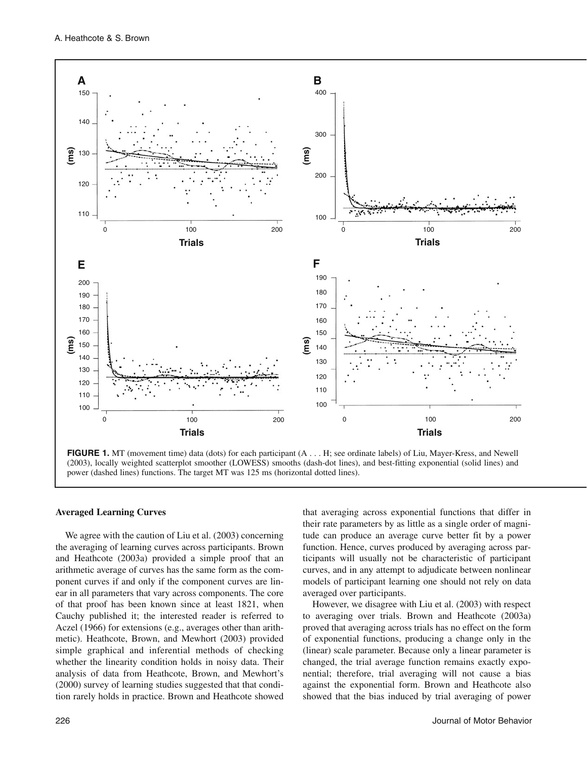

**FIGURE 1.** MT (movement time) data (dots) for each participant (A . . . H; see ordinate labels) of Liu, Mayer-Kress, and Newell (2003), locally weighted scatterplot smoother (LOWESS) smooths (dash-dot lines), and best-fitting exponential (solid lines) and power (dashed lines) functions. The target MT was 125 ms (horizontal dotted lines).

#### **Averaged Learning Curves**

We agree with the caution of Liu et al. (2003) concerning the averaging of learning curves across participants. Brown and Heathcote (2003a) provided a simple proof that an arithmetic average of curves has the same form as the component curves if and only if the component curves are linear in all parameters that vary across components. The core of that proof has been known since at least 1821, when Cauchy published it; the interested reader is referred to Aczel (1966) for extensions (e.g., averages other than arithmetic). Heathcote, Brown, and Mewhort (2003) provided simple graphical and inferential methods of checking whether the linearity condition holds in noisy data. Their analysis of data from Heathcote, Brown, and Mewhort's (2000) survey of learning studies suggested that that condition rarely holds in practice. Brown and Heathcote showed that averaging across exponential functions that differ in their rate parameters by as little as a single order of magnitude can produce an average curve better fit by a power function. Hence, curves produced by averaging across participants will usually not be characteristic of participant curves, and in any attempt to adjudicate between nonlinear models of participant learning one should not rely on data averaged over participants.

However, we disagree with Liu et al. (2003) with respect to averaging over trials. Brown and Heathcote (2003a) proved that averaging across trials has no effect on the form of exponential functions, producing a change only in the (linear) scale parameter. Because only a linear parameter is changed, the trial average function remains exactly exponential; therefore, trial averaging will not cause a bias against the exponential form. Brown and Heathcote also showed that the bias induced by trial averaging of power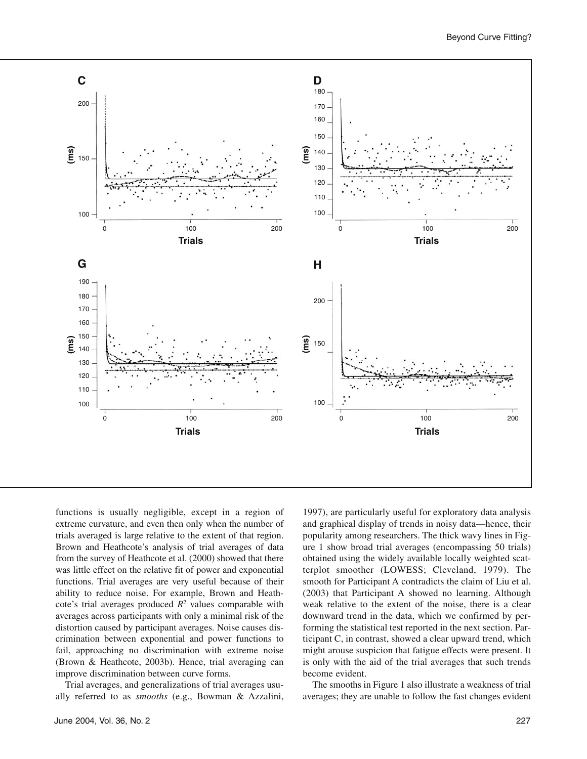

functions is usually negligible, except in a region of extreme curvature, and even then only when the number of trials averaged is large relative to the extent of that region. Brown and Heathcote's analysis of trial averages of data from the survey of Heathcote et al. (2000) showed that there was little effect on the relative fit of power and exponential functions. Trial averages are very useful because of their ability to reduce noise. For example, Brown and Heathcote's trial averages produced  $R^2$  values comparable with averages across participants with only a minimal risk of the distortion caused by participant averages. Noise causes discrimination between exponential and power functions to fail, approaching no discrimination with extreme noise (Brown & Heathcote, 2003b). Hence, trial averaging can improve discrimination between curve forms.

Trial averages, and generalizations of trial averages usually referred to as *smooths* (e.g., Bowman & Azzalini, 1997), are particularly useful for exploratory data analysis and graphical display of trends in noisy data—hence, their popularity among researchers. The thick wavy lines in Figure 1 show broad trial averages (encompassing 50 trials) obtained using the widely available locally weighted scatterplot smoother (LOWESS; Cleveland, 1979). The smooth for Participant A contradicts the claim of Liu et al. (2003) that Participant A showed no learning. Although weak relative to the extent of the noise, there is a clear downward trend in the data, which we confirmed by performing the statistical test reported in the next section. Participant C, in contrast, showed a clear upward trend, which might arouse suspicion that fatigue effects were present. It is only with the aid of the trial averages that such trends become evident.

The smooths in Figure 1 also illustrate a weakness of trial averages; they are unable to follow the fast changes evident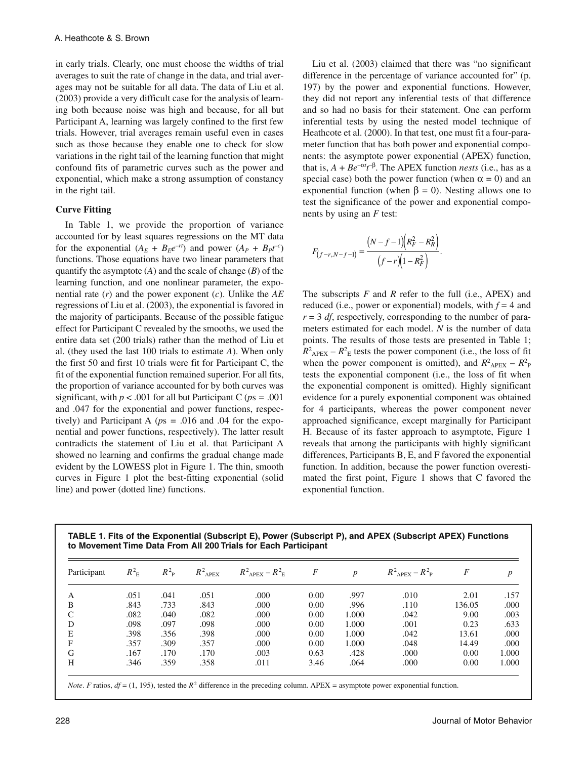in early trials. Clearly, one must choose the widths of trial averages to suit the rate of change in the data, and trial averages may not be suitable for all data. The data of Liu et al. (2003) provide a very difficult case for the analysis of learning both because noise was high and because, for all but Participant A, learning was largely confined to the first few trials. However, trial averages remain useful even in cases such as those because they enable one to check for slow variations in the right tail of the learning function that might confound fits of parametric curves such as the power and exponential, which make a strong assumption of constancy in the right tail.

#### **Curve Fitting**

In Table 1, we provide the proportion of variance accounted for by least squares regressions on the MT data for the exponential  $(A_E + B_Ee^{-rt})$  and power  $(A_P + B_Pt^{-c})$ functions. Those equations have two linear parameters that quantify the asymptote (*A*) and the scale of change (*B*) of the learning function, and one nonlinear parameter, the exponential rate (*r*) and the power exponent (*c*). Unlike the *AE* regressions of Liu et al. (2003), the exponential is favored in the majority of participants. Because of the possible fatigue effect for Participant C revealed by the smooths, we used the entire data set (200 trials) rather than the method of Liu et al. (they used the last 100 trials to estimate *A*). When only the first 50 and first 10 trials were fit for Participant C, the fit of the exponential function remained superior. For all fits, the proportion of variance accounted for by both curves was significant, with  $p < .001$  for all but Participant C ( $ps = .001$ ) and .047 for the exponential and power functions, respectively) and Participant A ( $ps = .016$  and .04 for the exponential and power functions, respectively). The latter result contradicts the statement of Liu et al. that Participant A showed no learning and confirms the gradual change made evident by the LOWESS plot in Figure 1. The thin, smooth curves in Figure 1 plot the best-fitting exponential (solid line) and power (dotted line) functions.

Liu et al. (2003) claimed that there was "no significant difference in the percentage of variance accounted for" (p. 197) by the power and exponential functions. However, they did not report any inferential tests of that difference and so had no basis for their statement. One can perform inferential tests by using the nested model technique of Heathcote et al. (2000). In that test, one must fit a four-parameter function that has both power and exponential components: the asymptote power exponential (APEX) function, that is,  $A + Be^{-\alpha t}t^{-\beta}$ . The APEX function *nests* (i.e., has as a special case) both the power function (when  $\alpha = 0$ ) and an exponential function (when  $\beta = 0$ ). Nesting allows one to test the significance of the power and exponential components by using an *F* test:

$$
F_{(f-r,N-f-1)} = \frac{(N-f-1)(R_F^2 - R_R^2)}{(f-r)(1 - R_F^2)}.
$$

The subscripts *F* and *R* refer to the full (i.e., APEX) and reduced (i.e., power or exponential) models, with  $f = 4$  and  $r = 3$  *df*, respectively, corresponding to the number of parameters estimated for each model. *N* is the number of data points. The results of those tests are presented in Table 1;  $R^2_{APEX} - R^2_{E}$  tests the power component (i.e., the loss of fit when the power component is omitted), and  $R^2_{APEX} - R^2_{P}$ tests the exponential component (i.e., the loss of fit when the exponential component is omitted). Highly significant evidence for a purely exponential component was obtained for 4 participants, whereas the power component never approached significance, except marginally for Participant H. Because of its faster approach to asymptote, Figure 1 reveals that among the participants with highly significant differences, Participants B, E, and F favored the exponential function. In addition, because the power function overestimated the first point, Figure 1 shows that C favored the exponential function.

| Participant | $R_{\rm E}^2$ | $R^2$ <sub>p</sub> | $R^2_{APEX}$ | $R^2_{APEX} - R^2_{E}$ | $\overline{F}$ | $\boldsymbol{p}$ | $R^2_{APEX} - R^2_{P}$ | $\boldsymbol{F}$ | $\boldsymbol{p}$ |
|-------------|---------------|--------------------|--------------|------------------------|----------------|------------------|------------------------|------------------|------------------|
| A           | .051          | .041               | .051         | .000                   | 0.00           | .997             | .010                   | 2.01             | .157             |
| В           | .843          | .733               | .843         | .000                   | 0.00           | .996             | .110                   | 136.05           | .000             |
|             | .082          | .040               | .082         | .000                   | 0.00           | 1.000            | .042                   | 9.00             | .003             |
| D           | .098          | .097               | .098         | .000                   | 0.00           | 1.000            | .001                   | 0.23             | .633             |
| E           | .398          | .356               | .398         | .000                   | 0.00           | 1.000            | .042                   | 13.61            | .000             |
| F           | .357          | .309               | .357         | .000                   | 0.00           | 1.000            | .048                   | 14.49            | .000             |
| G           | .167          | .170               | .170         | .003                   | 0.63           | .428             | .000                   | 0.00             | 1.000            |
| Н           | .346          | .359               | .358         | .011                   | 3.46           | .064             | .000                   | 0.00             | 1.000            |

**TABLE 1. Fits of the Exponential (Subscript E), Power (Subscript P), and APEX (Subscript APEX) Functions**

*Note*. *F* ratios,  $df = (1, 195)$ , tested the  $R^2$  difference in the preceding column. APEX = asymptote power exponential function.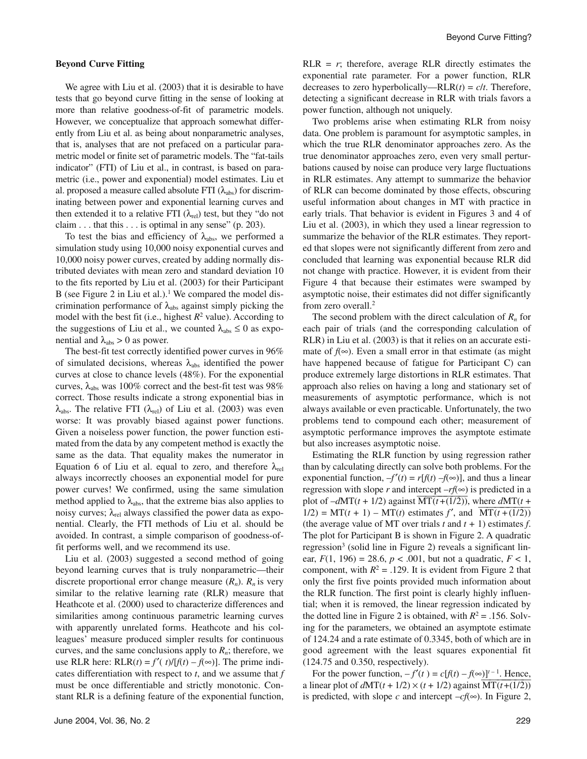#### **Beyond Curve Fitting**

We agree with Liu et al.  $(2003)$  that it is desirable to have tests that go beyond curve fitting in the sense of looking at more than relative goodness-of-fit of parametric models. However, we conceptualize that approach somewhat differently from Liu et al. as being about nonparametric analyses, that is, analyses that are not prefaced on a particular parametric model or finite set of parametric models. The "fat-tails indicator" (FTI) of Liu et al., in contrast, is based on parametric (i.e., power and exponential) model estimates. Liu et al. proposed a measure called absolute FTI  $(\lambda_{abs})$  for discriminating between power and exponential learning curves and then extended it to a relative FTI ( $\lambda_{rel}$ ) test, but they "do not claim  $\dots$  that this  $\dots$  is optimal in any sense" (p. 203).

To test the bias and efficiency of  $\lambda_{\text{abs}}$ , we performed a simulation study using 10,000 noisy exponential curves and 10,000 noisy power curves, created by adding normally distributed deviates with mean zero and standard deviation 10 to the fits reported by Liu et al. (2003) for their Participant B (see Figure 2 in Liu et al.).<sup>1</sup> We compared the model discrimination performance of  $\lambda_{\text{abs}}$  against simply picking the model with the best fit (i.e., highest  $R^2$  value). According to the suggestions of Liu et al., we counted  $\lambda_{\text{abs}} \leq 0$  as exponential and  $\lambda_{\text{abs}} > 0$  as power.

The best-fit test correctly identified power curves in 96% of simulated decisions, whereas  $\lambda_{\text{abs}}$  identified the power curves at close to chance levels (48%). For the exponential curves,  $\lambda_{\text{abs}}$  was 100% correct and the best-fit test was 98% correct. Those results indicate a strong exponential bias in  $\lambda_{\text{abs}}$ . The relative FTI ( $\lambda_{\text{rel}}$ ) of Liu et al. (2003) was even worse: It was provably biased against power functions. Given a noiseless power function, the power function estimated from the data by any competent method is exactly the same as the data. That equality makes the numerator in Equation 6 of Liu et al. equal to zero, and therefore  $\lambda_{rel}$ always incorrectly chooses an exponential model for pure power curves! We confirmed, using the same simulation method applied to  $\lambda_{\text{abs}}$ , that the extreme bias also applies to noisy curves;  $\lambda_{rel}$  always classified the power data as exponential. Clearly, the FTI methods of Liu et al. should be avoided. In contrast, a simple comparison of goodness-offit performs well, and we recommend its use.

Liu et al. (2003) suggested a second method of going beyond learning curves that is truly nonparametric—their discrete proportional error change measure  $(R_n)$ .  $R_n$  is very similar to the relative learning rate (RLR) measure that Heathcote et al. (2000) used to characterize differences and similarities among continuous parametric learning curves with apparently unrelated forms. Heathcote and his colleagues' measure produced simpler results for continuous curves, and the same conclusions apply to  $R_n$ ; therefore, we use RLR here:  $RLR(t) = f'(t)/[f(t) - f(\infty)]$ . The prime indicates differentiation with respect to *t*, and we assume that *f* must be once differentiable and strictly monotonic. Constant RLR is a defining feature of the exponential function,

 $RLR = r$ ; therefore, average RLR directly estimates the exponential rate parameter. For a power function, RLR decreases to zero hyperbolically—RLR $(t) = c/t$ . Therefore, detecting a significant decrease in RLR with trials favors a power function, although not uniquely.

Two problems arise when estimating RLR from noisy data. One problem is paramount for asymptotic samples, in which the true RLR denominator approaches zero. As the true denominator approaches zero, even very small perturbations caused by noise can produce very large fluctuations in RLR estimates. Any attempt to summarize the behavior of RLR can become dominated by those effects, obscuring useful information about changes in MT with practice in early trials. That behavior is evident in Figures 3 and 4 of Liu et al. (2003), in which they used a linear regression to summarize the behavior of the RLR estimates. They reported that slopes were not significantly different from zero and concluded that learning was exponential because RLR did not change with practice. However, it is evident from their Figure 4 that because their estimates were swamped by asymptotic noise, their estimates did not differ significantly from zero overall.2

The second problem with the direct calculation of  $R_n$  for each pair of trials (and the corresponding calculation of RLR) in Liu et al. (2003) is that it relies on an accurate estimate of  $f(\infty)$ . Even a small error in that estimate (as might have happened because of fatigue for Participant C) can produce extremely large distortions in RLR estimates. That approach also relies on having a long and stationary set of measurements of asymptotic performance, which is not always available or even practicable. Unfortunately, the two problems tend to compound each other; measurement of asymptotic performance improves the asymptote estimate but also increases asymptotic noise.

Estimating the RLR function by using regression rather than by calculating directly can solve both problems. For the exponential function,  $-f'(t) = r[f(t) - f(\infty)]$ , and thus a linear regression with slope  $r$  and intercept  $-rf(\infty)$  is predicted in a plot of  $-dMT(t + 1/2)$  against  $\overline{MT(t+(1/2))}$ , where  $dMT(t + 1/2)$ 1/2) = MT(*t* + 1) – MT(*t*) estimates *f'*, and  $\overline{MT(t+(1/2))}$ (the average value of MT over trials  $t$  and  $t + 1$ ) estimates  $f$ . The plot for Participant B is shown in Figure 2. A quadratic regression<sup>3</sup> (solid line in Figure 2) reveals a significant linear,  $F(1, 196) = 28.6$ ,  $p < .001$ , but not a quadratic,  $F < 1$ , component, with  $R^2 = .129$ . It is evident from Figure 2 that only the first five points provided much information about the RLR function. The first point is clearly highly influential; when it is removed, the linear regression indicated by the dotted line in Figure 2 is obtained, with  $R^2 = .156$ . Solving for the parameters, we obtained an asymptote estimate of 124.24 and a rate estimate of 0.3345, both of which are in good agreement with the least squares exponential fit (124.75 and 0.350, respectively).

For the power function,  $-f'(t) = c[f(t) - f(\infty)]^{t-1}$ . Hence, a linear plot of  $dM\Gamma(t + 1/2) \times (t + 1/2)$  against  $\overline{MT(t+(1/2))}$ is predicted, with slope *c* and intercept  $-cf(\infty)$ . In Figure 2,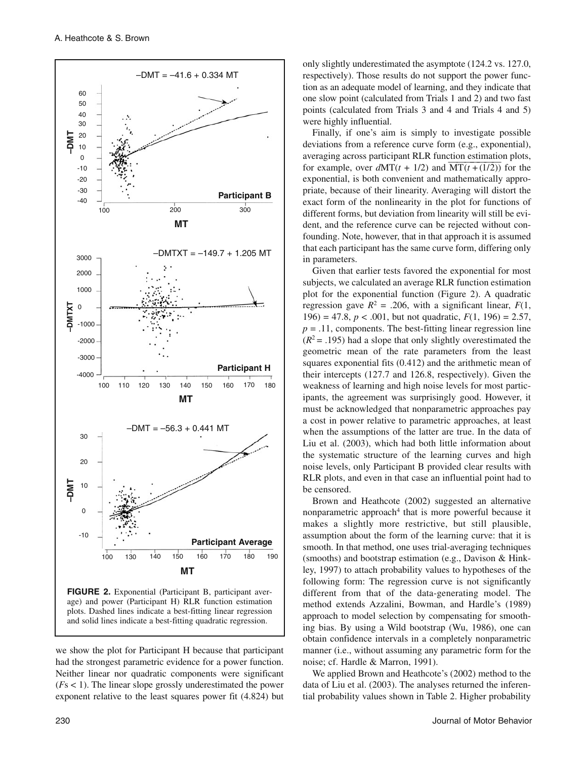

we show the plot for Participant H because that participant had the strongest parametric evidence for a power function. Neither linear nor quadratic components were significant and solid lines indicate a best-fitting quadratic regression.

(*F*s < 1). The linear slope grossly underestimated the power exponent relative to the least squares power fit (4.824) but

only slightly underestimated the asymptote (124.2 vs. 127.0, respectively). Those results do not support the power function as an adequate model of learning, and they indicate that one slow point (calculated from Trials 1 and 2) and two fast points (calculated from Trials 3 and 4 and Trials 4 and 5) were highly influential.

Finally, if one's aim is simply to investigate possible deviations from a reference curve form (e.g., exponential), averaging across participant RLR function estimation plots, for example, over  $dMT(t + 1/2)$  and  $MT(t+(1/2))$  for the exponential, is both convenient and mathematically appropriate, because of their linearity. Averaging will distort the exact form of the nonlinearity in the plot for functions of different forms, but deviation from linearity will still be evident, and the reference curve can be rejected without confounding. Note, however, that in that approach it is assumed that each participant has the same curve form, differing only in parameters.

Given that earlier tests favored the exponential for most subjects, we calculated an average RLR function estimation plot for the exponential function (Figure 2). A quadratic regression gave  $R^2 = .206$ , with a significant linear,  $F(1)$ , 196) = 47.8,  $p < .001$ , but not quadratic,  $F(1, 196) = 2.57$ ,  $p = .11$ , components. The best-fitting linear regression line  $(R<sup>2</sup> = .195)$  had a slope that only slightly overestimated the geometric mean of the rate parameters from the least squares exponential fits (0.412) and the arithmetic mean of their intercepts (127.7 and 126.8, respectively). Given the weakness of learning and high noise levels for most participants, the agreement was surprisingly good. However, it must be acknowledged that nonparametric approaches pay a cost in power relative to parametric approaches, at least when the assumptions of the latter are true. In the data of Liu et al. (2003), which had both little information about the systematic structure of the learning curves and high noise levels, only Participant B provided clear results with RLR plots, and even in that case an influential point had to be censored.

Brown and Heathcote (2002) suggested an alternative nonparametric approach<sup>4</sup> that is more powerful because it makes a slightly more restrictive, but still plausible, assumption about the form of the learning curve: that it is smooth. In that method, one uses trial-averaging techniques (smooths) and bootstrap estimation (e.g., Davison & Hinkley, 1997) to attach probability values to hypotheses of the following form: The regression curve is not significantly different from that of the data-generating model. The method extends Azzalini, Bowman, and Hardle's (1989) approach to model selection by compensating for smoothing bias. By using a Wild bootstrap (Wu, 1986), one can obtain confidence intervals in a completely nonparametric manner (i.e., without assuming any parametric form for the noise; cf. Hardle & Marron, 1991).

We applied Brown and Heathcote's (2002) method to the data of Liu et al. (2003). The analyses returned the inferential probability values shown in Table 2. Higher probability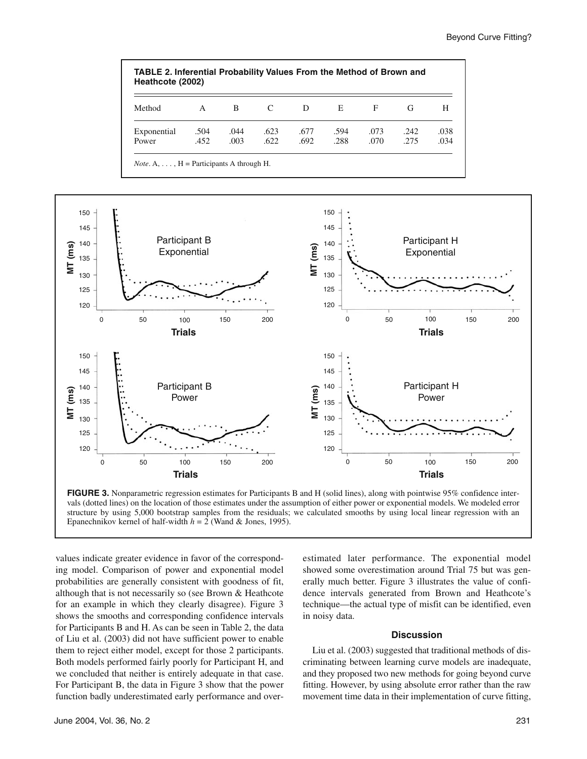



vals (dotted lines) on the location of those estimates under the assumption of either power or exponential models. We modeled error structure by using 5,000 bootstrap samples from the residuals; we calculated smooths by using local linear regression with an Epanechnikov kernel of half-width *h* = 2 (Wand & Jones, 1995).

values indicate greater evidence in favor of the corresponding model. Comparison of power and exponential model probabilities are generally consistent with goodness of fit, although that is not necessarily so (see Brown & Heathcote for an example in which they clearly disagree). Figure 3 shows the smooths and corresponding confidence intervals for Participants B and H. As can be seen in Table 2, the data of Liu et al. (2003) did not have sufficient power to enable them to reject either model, except for those 2 participants. Both models performed fairly poorly for Participant H, and we concluded that neither is entirely adequate in that case. For Participant B, the data in Figure 3 show that the power function badly underestimated early performance and overestimated later performance. The exponential model showed some overestimation around Trial 75 but was generally much better. Figure 3 illustrates the value of confidence intervals generated from Brown and Heathcote's technique—the actual type of misfit can be identified, even in noisy data.

#### **Discussion**

Liu et al. (2003) suggested that traditional methods of discriminating between learning curve models are inadequate, and they proposed two new methods for going beyond curve fitting. However, by using absolute error rather than the raw movement time data in their implementation of curve fitting,